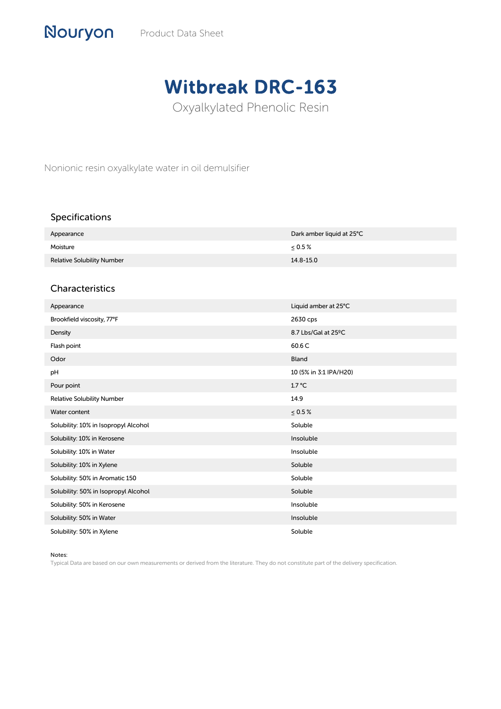# Witbreak DRC-163

Oxyalkylated Phenolic Resin

Nonionic resin oxyalkylate water in oil demulsifier

## Specifications

| Appearance                        | Dark amber liquid at 25°C |
|-----------------------------------|---------------------------|
| Moisture                          | $0.5\%$                   |
| <b>Relative Solubility Number</b> | 14.8-15.0                 |

#### Characteristics

| Appearance                           | Liquid amber at 25°C   |
|--------------------------------------|------------------------|
| Brookfield viscosity, 77°F           | 2630 cps               |
| Density                              | 8.7 Lbs/Gal at 25°C    |
| Flash point                          | 60.6 C                 |
| Odor                                 | Bland                  |
| pH                                   | 10 (5% in 3:1 IPA/H20) |
| Pour point                           | 1.7 °C                 |
| Relative Solubility Number           | 14.9                   |
| Water content                        | $\leq 0.5\,\%$         |
| Solubility: 10% in Isopropyl Alcohol | Soluble                |
| Solubility: 10% in Kerosene          | Insoluble              |
| Solubility: 10% in Water             | Insoluble              |
| Solubility: 10% in Xylene            | Soluble                |
| Solubility: 50% in Aromatic 150      | Soluble                |
| Solubility: 50% in Isopropyl Alcohol | Soluble                |
| Solubility: 50% in Kerosene          | Insoluble              |
| Solubility: 50% in Water             | Insoluble              |
| Solubility: 50% in Xylene            | Soluble                |

Notes:

Typical Data are based on our own measurements or derived from the literature. They do not constitute part of the delivery specification.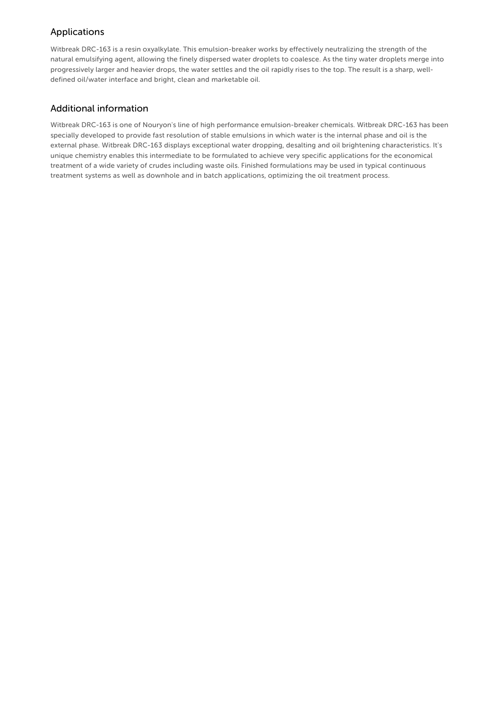## Applications

Witbreak DRC-163 is a resin oxyalkylate. This emulsion-breaker works by effectively neutralizing the strength of the natural emulsifying agent, allowing the finely dispersed water droplets to coalesce. As the tiny water droplets merge into progressively larger and heavier drops, the water settles and the oil rapidly rises to the top. The result is a sharp, welldefined oil/water interface and bright, clean and marketable oil.

### Additional information

Witbreak DRC-163 is one of Nouryon's line of high performance emulsion-breaker chemicals. Witbreak DRC-163 has been specially developed to provide fast resolution of stable emulsions in which water is the internal phase and oil is the external phase. Witbreak DRC-163 displays exceptional water dropping, desalting and oil brightening characteristics. It's unique chemistry enables this intermediate to be formulated to achieve very specific applications for the economical treatment of a wide variety of crudes including waste oils. Finished formulations may be used in typical continuous treatment systems as well as downhole and in batch applications, optimizing the oil treatment process.